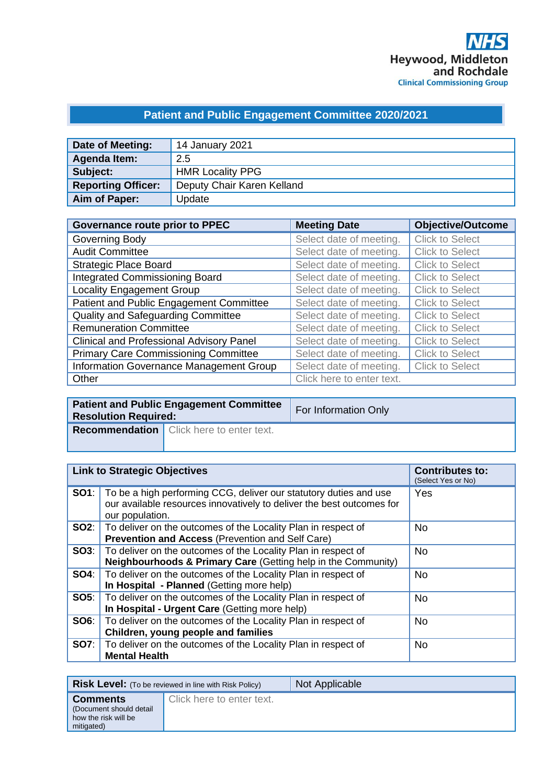## **Patient and Public Engagement Committee 2020/2021**

| Date of Meeting:          | 14 January 2021            |
|---------------------------|----------------------------|
| Agenda Item:              | 2.5                        |
| Subject:                  | <b>HMR Locality PPG</b>    |
| <b>Reporting Officer:</b> | Deputy Chair Karen Kelland |
| Aim of Paper:             | Update                     |

| <b>Governance route prior to PPEC</b>           | <b>Meeting Date</b>       | <b>Objective/Outcome</b> |
|-------------------------------------------------|---------------------------|--------------------------|
| Governing Body                                  | Select date of meeting.   | <b>Click to Select</b>   |
| <b>Audit Committee</b>                          | Select date of meeting.   | <b>Click to Select</b>   |
| <b>Strategic Place Board</b>                    | Select date of meeting.   | <b>Click to Select</b>   |
| <b>Integrated Commissioning Board</b>           | Select date of meeting.   | <b>Click to Select</b>   |
| <b>Locality Engagement Group</b>                | Select date of meeting.   | <b>Click to Select</b>   |
| Patient and Public Engagement Committee         | Select date of meeting.   | <b>Click to Select</b>   |
| <b>Quality and Safeguarding Committee</b>       | Select date of meeting.   | <b>Click to Select</b>   |
| <b>Remuneration Committee</b>                   | Select date of meeting.   | <b>Click to Select</b>   |
| <b>Clinical and Professional Advisory Panel</b> | Select date of meeting.   | <b>Click to Select</b>   |
| <b>Primary Care Commissioning Committee</b>     | Select date of meeting.   | <b>Click to Select</b>   |
| Information Governance Management Group         | Select date of meeting.   | <b>Click to Select</b>   |
| Other                                           | Click here to enter text. |                          |

| <b>Resolution Required:</b> | <b>Patient and Public Engagement Committee</b>  | For Information Only |
|-----------------------------|-------------------------------------------------|----------------------|
|                             | <b>Recommendation</b> Click here to enter text. |                      |

| <b>Link to Strategic Objectives</b> |                                                                                                                                                                            | <b>Contributes to:</b><br>(Select Yes or No) |
|-------------------------------------|----------------------------------------------------------------------------------------------------------------------------------------------------------------------------|----------------------------------------------|
|                                     | <b>SO1</b> : To be a high performing CCG, deliver our statutory duties and use<br>our available resources innovatively to deliver the best outcomes for<br>our population. | Yes                                          |
|                                     | <b>SO2:</b>   To deliver on the outcomes of the Locality Plan in respect of<br>Prevention and Access (Prevention and Self Care)                                            | <b>No</b>                                    |
|                                     | <b>SO3:</b>   To deliver on the outcomes of the Locality Plan in respect of<br><b>Neighbourhoods &amp; Primary Care (Getting help in the Community)</b>                    | No.                                          |
|                                     | <b>SO4:</b> To deliver on the outcomes of the Locality Plan in respect of<br>In Hospital - Planned (Getting more help)                                                     | <b>No</b>                                    |
|                                     | <b>SO5:</b>   To deliver on the outcomes of the Locality Plan in respect of<br>In Hospital - Urgent Care (Getting more help)                                               | <b>No</b>                                    |
| SOS:                                | To deliver on the outcomes of the Locality Plan in respect of<br>Children, young people and families                                                                       | <b>No</b>                                    |
|                                     | <b>SO7:</b> To deliver on the outcomes of the Locality Plan in respect of<br><b>Mental Health</b>                                                                          | <b>No</b>                                    |

|                                                                                   | <b>Risk Level:</b> (To be reviewed in line with Risk Policy) | Not Applicable |
|-----------------------------------------------------------------------------------|--------------------------------------------------------------|----------------|
| <b>Comments</b><br>(Document should detail)<br>how the risk will be<br>mitigated) | Click here to enter text.                                    |                |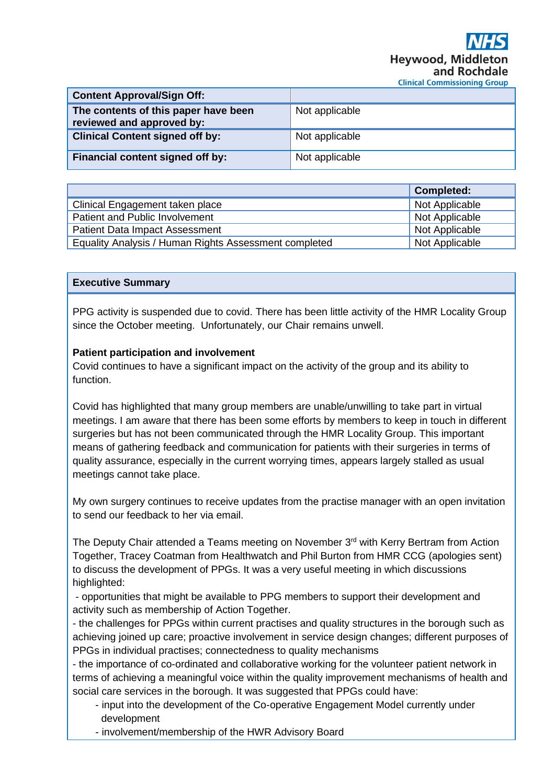| <b>Content Approval/Sign Off:</b>                                 |                |
|-------------------------------------------------------------------|----------------|
| The contents of this paper have been<br>reviewed and approved by: | Not applicable |
| <b>Clinical Content signed off by:</b>                            | Not applicable |
| Financial content signed off by:                                  | Not applicable |

|                                                       | <b>Completed:</b> |
|-------------------------------------------------------|-------------------|
| Clinical Engagement taken place                       | Not Applicable    |
| Patient and Public Involvement                        | Not Applicable    |
| <b>Patient Data Impact Assessment</b>                 | Not Applicable    |
| Equality Analysis / Human Rights Assessment completed | Not Applicable    |

## **Executive Summary**

PPG activity is suspended due to covid. There has been little activity of the HMR Locality Group since the October meeting. Unfortunately, our Chair remains unwell.

## **Patient participation and involvement**

Covid continues to have a significant impact on the activity of the group and its ability to function.

Covid has highlighted that many group members are unable/unwilling to take part in virtual meetings. I am aware that there has been some efforts by members to keep in touch in different surgeries but has not been communicated through the HMR Locality Group. This important means of gathering feedback and communication for patients with their surgeries in terms of quality assurance, especially in the current worrying times, appears largely stalled as usual meetings cannot take place.

My own surgery continues to receive updates from the practise manager with an open invitation to send our feedback to her via email.

The Deputy Chair attended a Teams meeting on November 3<sup>rd</sup> with Kerry Bertram from Action Together, Tracey Coatman from Healthwatch and Phil Burton from HMR CCG (apologies sent) to discuss the development of PPGs. It was a very useful meeting in which discussions highlighted:

- opportunities that might be available to PPG members to support their development and activity such as membership of Action Together.

- the challenges for PPGs within current practises and quality structures in the borough such as achieving joined up care; proactive involvement in service design changes; different purposes of PPGs in individual practises; connectedness to quality mechanisms

- the importance of co-ordinated and collaborative working for the volunteer patient network in terms of achieving a meaningful voice within the quality improvement mechanisms of health and social care services in the borough. It was suggested that PPGs could have:

- input into the development of the Co-operative Engagement Model currently under development
- involvement/membership of the HWR Advisory Board